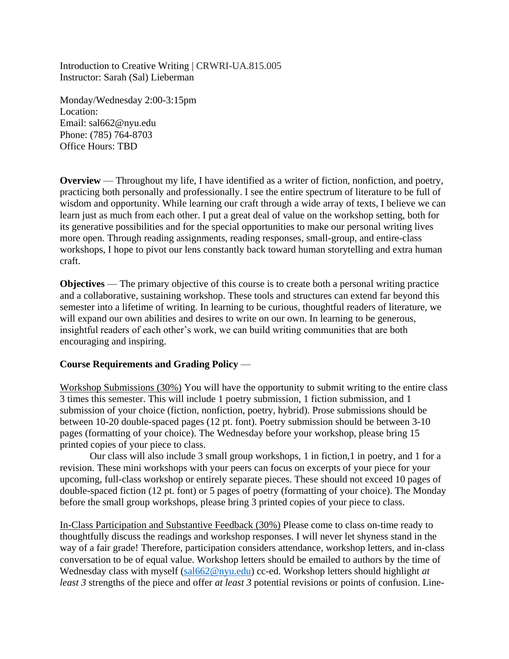Introduction to Creative Writing | CRWRI-UA.815.005 Instructor: Sarah (Sal) Lieberman

Monday/Wednesday 2:00-3:15pm Location: Email: sal662@nyu.edu Phone: (785) 764-8703 Office Hours: TBD

**Overview** — Throughout my life, I have identified as a writer of fiction, nonfiction, and poetry, practicing both personally and professionally. I see the entire spectrum of literature to be full of wisdom and opportunity. While learning our craft through a wide array of texts, I believe we can learn just as much from each other. I put a great deal of value on the workshop setting, both for its generative possibilities and for the special opportunities to make our personal writing lives more open. Through reading assignments, reading responses, small-group, and entire-class workshops, I hope to pivot our lens constantly back toward human storytelling and extra human craft.

**Objectives** — The primary objective of this course is to create both a personal writing practice and a collaborative, sustaining workshop. These tools and structures can extend far beyond this semester into a lifetime of writing. In learning to be curious, thoughtful readers of literature, we will expand our own abilities and desires to write on our own. In learning to be generous, insightful readers of each other's work, we can build writing communities that are both encouraging and inspiring.

## **Course Requirements and Grading Policy** —

Workshop Submissions (30%) You will have the opportunity to submit writing to the entire class 3 times this semester. This will include 1 poetry submission, 1 fiction submission, and 1 submission of your choice (fiction, nonfiction, poetry, hybrid). Prose submissions should be between 10-20 double-spaced pages (12 pt. font). Poetry submission should be between 3-10 pages (formatting of your choice). The Wednesday before your workshop, please bring 15 printed copies of your piece to class.

Our class will also include 3 small group workshops, 1 in fiction,1 in poetry, and 1 for a revision. These mini workshops with your peers can focus on excerpts of your piece for your upcoming, full-class workshop or entirely separate pieces. These should not exceed 10 pages of double-spaced fiction (12 pt. font) or 5 pages of poetry (formatting of your choice). The Monday before the small group workshops, please bring 3 printed copies of your piece to class.

In-Class Participation and Substantive Feedback (30%) Please come to class on-time ready to thoughtfully discuss the readings and workshop responses. I will never let shyness stand in the way of a fair grade! Therefore, participation considers attendance, workshop letters, and in-class conversation to be of equal value. Workshop letters should be emailed to authors by the time of Wednesday class with myself [\(sal662@nyu.edu\)](mailto:sal662@nyu.edu) cc-ed. Workshop letters should highlight *at least 3* strengths of the piece and offer *at least 3* potential revisions or points of confusion. Line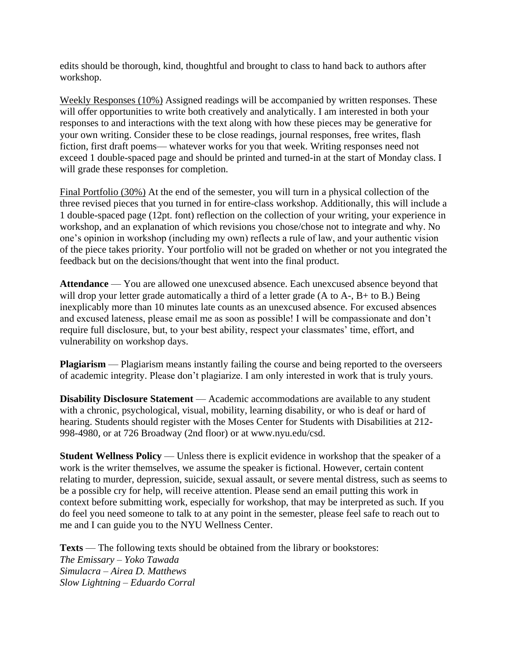edits should be thorough, kind, thoughtful and brought to class to hand back to authors after workshop.

Weekly Responses (10%) Assigned readings will be accompanied by written responses. These will offer opportunities to write both creatively and analytically. I am interested in both your responses to and interactions with the text along with how these pieces may be generative for your own writing. Consider these to be close readings, journal responses, free writes, flash fiction, first draft poems— whatever works for you that week. Writing responses need not exceed 1 double-spaced page and should be printed and turned-in at the start of Monday class. I will grade these responses for completion.

Final Portfolio (30%) At the end of the semester, you will turn in a physical collection of the three revised pieces that you turned in for entire-class workshop. Additionally, this will include a 1 double-spaced page (12pt. font) reflection on the collection of your writing, your experience in workshop, and an explanation of which revisions you chose/chose not to integrate and why. No one's opinion in workshop (including my own) reflects a rule of law, and your authentic vision of the piece takes priority. Your portfolio will not be graded on whether or not you integrated the feedback but on the decisions/thought that went into the final product.

**Attendance** — You are allowed one unexcused absence. Each unexcused absence beyond that will drop your letter grade automatically a third of a letter grade (A to A-, B+ to B.) Being inexplicably more than 10 minutes late counts as an unexcused absence. For excused absences and excused lateness, please email me as soon as possible! I will be compassionate and don't require full disclosure, but, to your best ability, respect your classmates' time, effort, and vulnerability on workshop days.

**Plagiarism** — Plagiarism means instantly failing the course and being reported to the overseers of academic integrity. Please don't plagiarize. I am only interested in work that is truly yours.

**Disability Disclosure Statement** — Academic accommodations are available to any student with a chronic, psychological, visual, mobility, learning disability, or who is deaf or hard of hearing. Students should register with the Moses Center for Students with Disabilities at 212- 998-4980, or at 726 Broadway (2nd floor) or at www.nyu.edu/csd.

**Student Wellness Policy** — Unless there is explicit evidence in workshop that the speaker of a work is the writer themselves, we assume the speaker is fictional. However, certain content relating to murder, depression, suicide, sexual assault, or severe mental distress, such as seems to be a possible cry for help, will receive attention. Please send an email putting this work in context before submitting work, especially for workshop, that may be interpreted as such. If you do feel you need someone to talk to at any point in the semester, please feel safe to reach out to me and I can guide you to the NYU Wellness Center.

**Texts** — The following texts should be obtained from the library or bookstores: *The Emissary – Yoko Tawada Simulacra – Airea D. Matthews Slow Lightning – Eduardo Corral*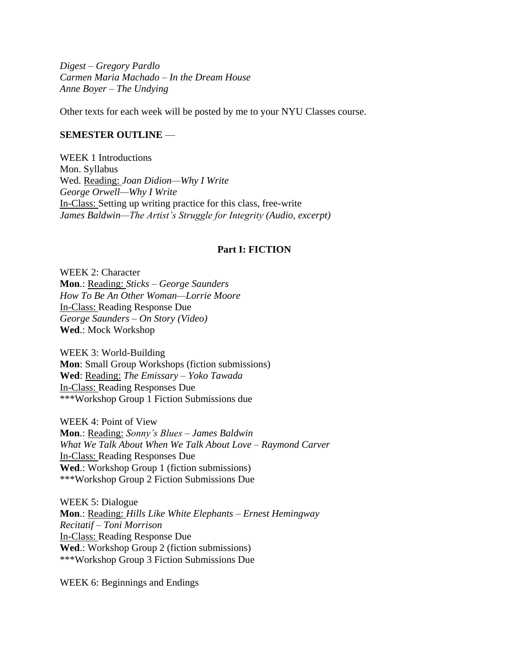*Digest – Gregory Pardlo Carmen Maria Machado – In the Dream House Anne Boyer – The Undying* 

Other texts for each week will be posted by me to your NYU Classes course.

### **SEMESTER OUTLINE** —

WEEK 1 Introductions Mon. Syllabus Wed. Reading: *Joan Didion—Why I Write George Orwell—Why I Write*  In-Class: Setting up writing practice for this class, free-write *James Baldwin—The Artist's Struggle for Integrity (Audio, excerpt)* 

### **Part I: FICTION**

WEEK 2: Character **Mon**.: Reading: *Sticks – George Saunders How To Be An Other Woman—Lorrie Moore*  In-Class: Reading Response Due *George Saunders – On Story (Video)*  **Wed**.: Mock Workshop

WEEK 3: World-Building **Mon**: Small Group Workshops (fiction submissions) **Wed**: Reading: *The Emissary – Yoko Tawada*  In-Class: Reading Responses Due \*\*\*Workshop Group 1 Fiction Submissions due

WEEK 4: Point of View **Mon**.: Reading: *Sonny's Blues – James Baldwin What We Talk About When We Talk About Love – Raymond Carver* In-Class: Reading Responses Due **Wed**.: Workshop Group 1 (fiction submissions) \*\*\*Workshop Group 2 Fiction Submissions Due

WEEK 5: Dialogue **Mon**.: Reading: *Hills Like White Elephants – Ernest Hemingway Recitatif – Toni Morrison*  In-Class: Reading Response Due **Wed**.: Workshop Group 2 (fiction submissions) \*\*\*Workshop Group 3 Fiction Submissions Due

WEEK 6: Beginnings and Endings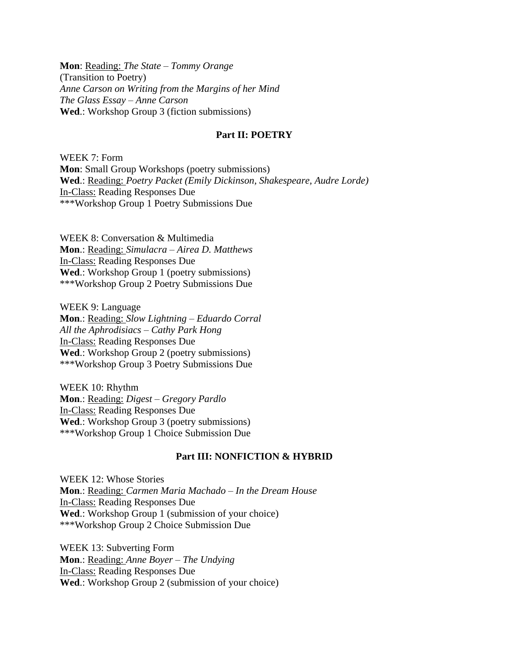**Mon**: Reading: *The State – Tommy Orange*  (Transition to Poetry) *Anne Carson on Writing from the Margins of her Mind The Glass Essay – Anne Carson*  **Wed**.: Workshop Group 3 (fiction submissions)

### **Part II: POETRY**

WEEK 7: Form **Mon**: Small Group Workshops (poetry submissions) **Wed**.: Reading: *Poetry Packet (Emily Dickinson, Shakespeare, Audre Lorde)*  In-Class: Reading Responses Due \*\*\*Workshop Group 1 Poetry Submissions Due

WEEK 8: Conversation & Multimedia **Mon**.: Reading: *Simulacra – Airea D. Matthews* In-Class: Reading Responses Due **Wed**.: Workshop Group 1 (poetry submissions) \*\*\*Workshop Group 2 Poetry Submissions Due

WEEK 9: Language **Mon**.: Reading: *Slow Lightning – Eduardo Corral All the Aphrodisiacs – Cathy Park Hong*  In-Class: Reading Responses Due **Wed**.: Workshop Group 2 (poetry submissions) \*\*\*Workshop Group 3 Poetry Submissions Due

WEEK 10: Rhythm **Mon**.: Reading: *Digest – Gregory Pardlo*  In-Class: Reading Responses Due **Wed**.: Workshop Group 3 (poetry submissions) \*\*\*Workshop Group 1 Choice Submission Due

## **Part III: NONFICTION & HYBRID**

WEEK 12: Whose Stories **Mon**.: Reading: *Carmen Maria Machado – In the Dream House*  In-Class: Reading Responses Due Wed.: Workshop Group 1 (submission of your choice) \*\*\*Workshop Group 2 Choice Submission Due

WEEK 13: Subverting Form **Mon**.: Reading: *Anne Boyer – The Undying*  In-Class: Reading Responses Due **Wed**.: Workshop Group 2 (submission of your choice)